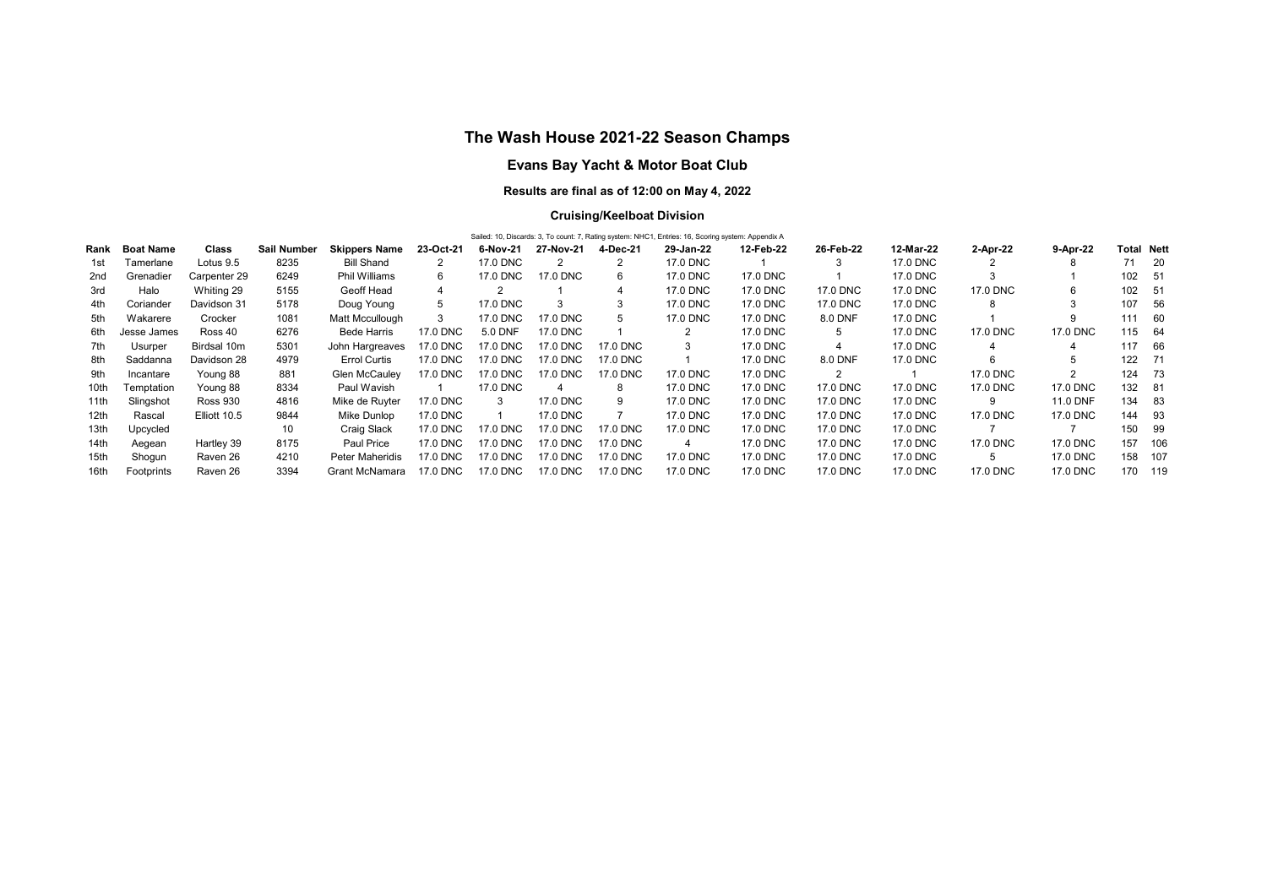# The Wash House 2021-22 Season Champs

# Evans Bay Yacht & Motor Boat Club

## Results are final as of 12:00 on May 4, 2022

## Cruising/Keelboat Division

|             | <b>Total Nett</b> |             |                        |           |          |           |          |           |           |                                                                                                    |           |          |          |     |                                                                                                                 |
|-------------|-------------------|-------------|------------------------|-----------|----------|-----------|----------|-----------|-----------|----------------------------------------------------------------------------------------------------|-----------|----------|----------|-----|-----------------------------------------------------------------------------------------------------------------|
| Boat Name   | Class             | Sail Number | <b>Skippers Name</b>   | 23-Oct-21 | 6-Nov-21 | 27-Nov-21 | 4-Dec-21 | 29-Jan-22 | 12-Feb-22 | 26-Feb-22                                                                                          | 12-Mar-22 | 2-Apr-22 | 9-Apr-22 |     |                                                                                                                 |
| Tamerlane   | Lotus 9.5         | 8235        | <b>Bill Shand</b>      | 2         | 17.0 DNC |           |          | 17.0 DNC  |           |                                                                                                    | 17.0 DNC  | 2        | 8        |     | 71 20                                                                                                           |
| Grenadier   | Carpenter 29      | 6249        | Phil Williams          | 6         | 17.0 DNC | 17.0 DNC  | 6        | 17.0 DNC  | 17.0 DNC  |                                                                                                    | 17.0 DNC  | 3        |          |     |                                                                                                                 |
| Halo        | Whiting 29        | 5155        | Geoff Head             | 4         | 2        |           |          | 17.0 DNC  | 17.0 DNC  | 17.0 DNC                                                                                           | 17.0 DNC  | 17.0 DNC |          |     |                                                                                                                 |
| Coriander   | Davidson 31       | 5178        | Doug Young             | 5         | 17.0 DNC | 3         |          | 17.0 DNC  | 17.0 DNC  | 17.0 DNC                                                                                           | 17.0 DNC  | 8        |          | 107 | - 56                                                                                                            |
| Wakarere    | Crocker           | 1081        | Matt Mccullough        | 3         | 17.0 DNC | 17.0 DNC  | 5        | 17.0 DNC  | 17.0 DNC  | 8.0 DNF                                                                                            | 17.0 DNC  |          |          |     |                                                                                                                 |
| Jesse James | Ross 40           | 6276        | <b>Bede Harris</b>     | 17.0 DNC  | 5.0 DNF  | 17.0 DNC  |          | 2         | 17.0 DNC  |                                                                                                    | 17.0 DNC  | 17.0 DNC | 17.0 DNC |     |                                                                                                                 |
| Usurper     | Birdsal 10m       | 5301        | John Hargreaves        | 17.0 DNC  | 17.0 DNC | 17.0 DNC  | 17.0 DNC |           | 17.0 DNC  |                                                                                                    | 17.0 DNC  | 4        |          |     | 66                                                                                                              |
| Saddanna    | Davidson 28       | 4979        | <b>Errol Curtis</b>    | 17.0 DNC  | 17.0 DNC | 17.0 DNC  | 17.0 DNC |           | 17.0 DNC  | 8.0 DNF                                                                                            | 17.0 DNC  | 6        |          |     |                                                                                                                 |
| Incantare   | Young 88          | 881         | <b>Glen McCauley</b>   | 17.0 DNC  | 17.0 DNC | 17.0 DNC  | 17.0 DNC | 17.0 DNC  | 17.0 DNC  | $\overline{2}$                                                                                     |           | 17.0 DNC | 2        |     |                                                                                                                 |
| Temptation  | Young 88          | 8334        | Paul Wavish            |           | 17.0 DNC | 4         | 8        | 17.0 DNC  | 17.0 DNC  | 17.0 DNC                                                                                           | 17.0 DNC  | 17.0 DNC | 17.0 DNC |     |                                                                                                                 |
| Slingshot   | <b>Ross 930</b>   | 4816        | Mike de Ruyter         | 17.0 DNC  | 3        | 17.0 DNC  | 9        | 17.0 DNC  | 17.0 DNC  | 17.0 DNC                                                                                           | 17.0 DNC  | 9        | 11.0 DNF |     |                                                                                                                 |
| Rascal      | Elliott 10.5      | 9844        | Mike Dunlop            | 17.0 DNC  |          | 17.0 DNC  |          | 17.0 DNC  | 17.0 DNC  | 17.0 DNC                                                                                           | 17.0 DNC  | 17.0 DNC | 17.0 DNC |     |                                                                                                                 |
| Upcycled    |                   | 10          | Craig Slack            | 17.0 DNC  | 17.0 DNC | 17.0 DNC  | 17.0 DNC | 17.0 DNC  | 17.0 DNC  | 17.0 DNC                                                                                           | 17.0 DNC  |          |          | 150 | -99                                                                                                             |
| Aegean      | Hartley 39        | 8175        | Paul Price             | 17.0 DNC  | 17.0 DNC | 17.0 DNC  | 17.0 DNC | 4         | 17.0 DNC  | 17.0 DNC                                                                                           | 17.0 DNC  | 17.0 DNC | 17.0 DNC |     | 106                                                                                                             |
| Shogun      | Raven 26          | 4210        | <b>Peter Maheridis</b> | 17.0 DNC  | 17.0 DNC | 17.0 DNC  | 17.0 DNC | 17.0 DNC  | 17.0 DNC  | 17.0 DNC                                                                                           | 17.0 DNC  | 5        | 17.0 DNC |     |                                                                                                                 |
| Footprints  | Raven 26          | 3394        | Grant McNamara         | 17.0 DNC  | 17.0 DNC | 17.0 DNC  | 17.0 DNC | 17.0 DNC  | 17.0 DNC  | 17.0 DNC                                                                                           | 17.0 DNC  | 17.0 DNC | 17.0 DNC |     | 170 119                                                                                                         |
| Rank        |                   |             |                        |           |          |           |          |           |           | Sailed: 10, Discards: 3, To count: 7, Rating system: NHC1, Entries: 16, Scoring system: Appendix A |           |          |          |     | 102 51<br>102 51<br>111 60<br>115 64<br>117<br>122 71<br>124 73<br>132 81<br>134 83<br>144 93<br>157<br>158 107 |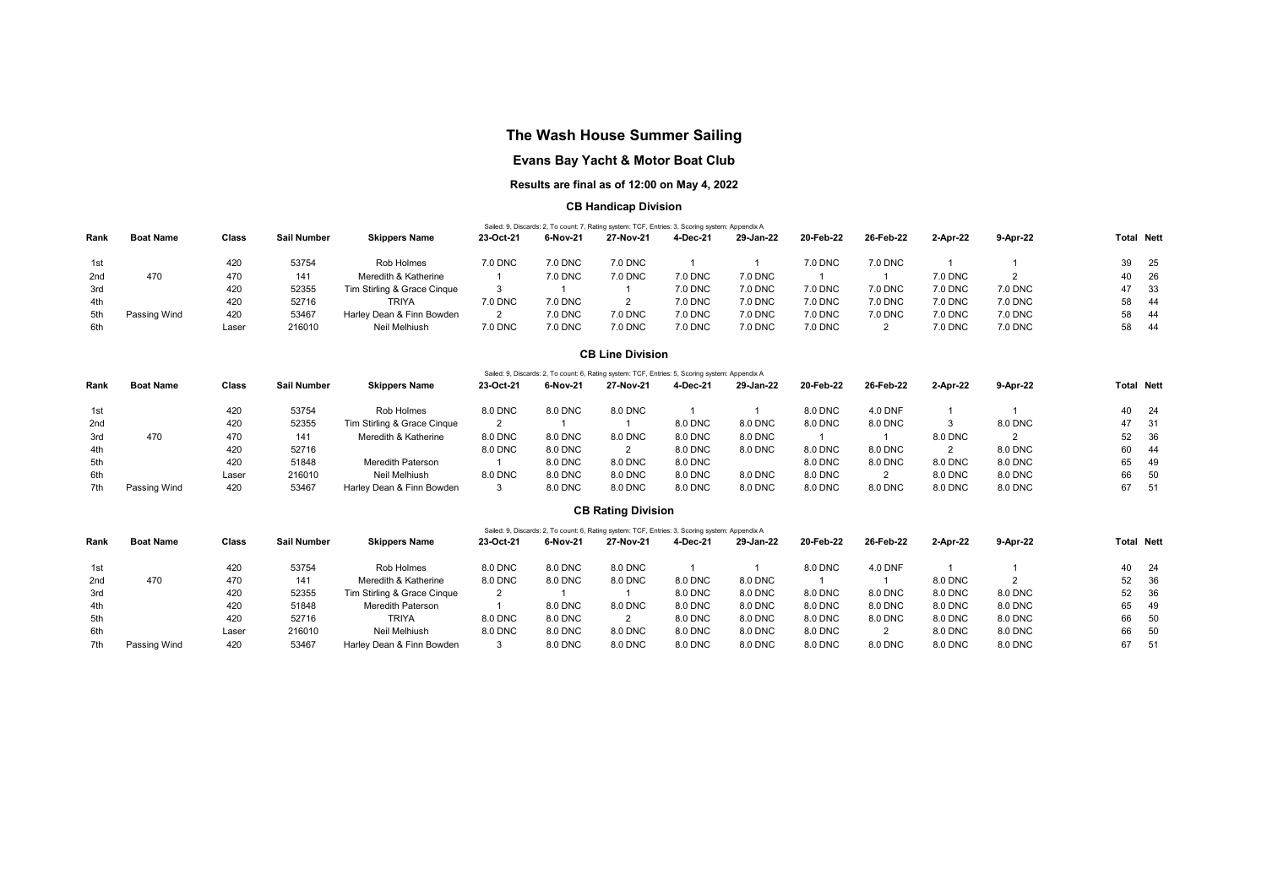# The Wash House Summer Sailing

## Evans Bay Yacht & Motor Boat Club

## Results are final as of 12:00 on May 4, 2022

### CB Handicap Division

|                 | Sailed: 9, Discards: 2, To count: 7, Rating system: TCF, Entries: 3, Scoring system: Appendix A |       |             |                             |           |                |           |          |           |           |           |          |                |                   |
|-----------------|-------------------------------------------------------------------------------------------------|-------|-------------|-----------------------------|-----------|----------------|-----------|----------|-----------|-----------|-----------|----------|----------------|-------------------|
| Rank            | <b>Boat Name</b>                                                                                | Class | Sail Number | <b>Skippers Name</b>        | 23-Oct-21 | 6-Nov-21       | 27 Nov 21 | 4-Dec-21 | 29-Jan-22 | 20-Feb-22 | 26 Feb 22 | 2-Apr-22 | 9-Apr 22       | <b>Total Nett</b> |
| 1st             |                                                                                                 | 420   | 53754       | Rob Holmes                  | 7.0 DNC   | 7.0 DNC        | 7.0 DNC   |          |           | 7.0 DNC   | 7.0 DNC   |          |                | 39 25             |
| 2 <sub>nd</sub> | 470                                                                                             | 470   | 141         | Meredith & Katherine        |           | 7.0 DNC        | 7.0 DNC   | 7.0 DNC  | 7.0 DNC   |           |           | 7.0 DNC  |                | 40 26             |
| 3rd             |                                                                                                 | 420   | 52355       | Tim Stirling & Grace Cinque |           |                |           | 7.0 DNC  | 7.0 DNC   | 7.0 DNC   | 7.0 DNC   | 7.0 DNC  | <b>7.0 DNC</b> | 47 33             |
| 4th             |                                                                                                 | 420   | 52716       | <b>TRIYA</b>                | 7.0 DNC   | 7.0 DNC        |           | 7.0 DNC  | 7.0 DNC   | 7.0 DNC   | 7.0 DNC   | 7.0 DNC  | 7.0 DNC        | 58 44             |
| 5th             | Passing Wind                                                                                    | 420   | 53467       | Harley Dean & Finn Bowden   |           | <b>7.0 DNC</b> | 7.0 DNC   | 7.0 DNC  | 7.0 DNC   | 7.0 DNC   | 7.0 DNC   | 7.0 DNC  | <b>7.0 DNC</b> | 58 44             |
| 6th             |                                                                                                 | Laser | 216010      | Neil Melhiush               | 7.0 DNC   | <b>7.0 DNC</b> | 7.0 DNC   | 7.0 DNC  | 7.0 DNC   | 7.0 DNC   |           | 7.0 DNC  | 7.0 DNC        | 58 44             |

#### CB Line Division

|      |                  |       |             |                             |           |          | Sailed: 9, Discards: 2, To count: 6, Rating system: TCF, Entries: 5, Scoring system: Appendix A |          |           |           |           |          |          |                   |
|------|------------------|-------|-------------|-----------------------------|-----------|----------|-------------------------------------------------------------------------------------------------|----------|-----------|-----------|-----------|----------|----------|-------------------|
| Rank | <b>Boat Name</b> | Class | Sail Number | <b>Skippers Name</b>        | 23-Oct-21 | 6-Nov-21 | 27-Nov-21                                                                                       | 4-Dec-21 | 29-Jan-22 | 20-Feb-22 | 26-Feb-22 | 2-Apr-22 | 9-Apr-22 | <b>Total Nett</b> |
| 1st  |                  | 420   | 53754       | Rob Holmes                  | 8.0 DNC   | 8.0 DNC  | 8.0 DNC                                                                                         |          |           | 8.0 DNC   | 4.0 DNF   |          |          | 40<br>-24         |
| 2nd  |                  | 420   | 52355       | Tim Stirling & Grace Cinque |           |          |                                                                                                 | 8.0 DNC  | 8.0 DNC   | 8.0 DNC   | 8.0 DNC   |          | 8.0 DNC  | 47<br>- 31        |
| 3rd  | 470              | 470   | 141         | Meredith & Katherine        | 8.0 DNC   | 8.0 DNC  | 8.0 DNC                                                                                         | 8.0 DNC  | 8.0 DNC   |           |           | 8.0 DNC  |          | 52 36             |
| 4th  |                  | 420   | 52716       |                             | 8.0 DNC   | 8.0 DNC  |                                                                                                 | 8.0 DNC  | 8.0 DNC   | 8.0 DNC   | 8.0 DNC   |          | 8.0 DNC  | 60 44             |
| 5th  |                  | 420   | 51848       | <b>Meredith Paterson</b>    |           | 8.0 DNC  | 8.0 DNC                                                                                         | 8.0 DNC  |           | 8.0 DNC   | 8.0 DNC   | 8.0 DNC  | 8.0 DNC  | 65 49             |
| 6th  |                  | Laser | 216010      | Neil Melhiush               | 8.0 DNC   | 8.0 DNC  | 8.0 DNC                                                                                         | 8.0 DNC  | 8.0 DNC   | 8.0 DNC   |           | 8.0 DNC  | 8.0 DNC  | 66<br>- 50        |
| 7th  | Passing Wind     | 420   | 53467       | Harley Dean & Finn Bowden   |           | 8.0 DNC  | 8.0 DNC                                                                                         | 8.0 DNC  | 8.0 DNC   | 8.0 DNC   | 8.0 DNC   | 8.0 DNC  | 8.0 DNC  | 67<br>51          |

### CB Rating Division

|      | Sailed: 9, Discards: 2, To count: 6, Rating system: TCF, Entries: 3, Scoring system: Appendix A |       |             |                             |           |          |           |          |           |           |           |          |          |                   |
|------|-------------------------------------------------------------------------------------------------|-------|-------------|-----------------------------|-----------|----------|-----------|----------|-----------|-----------|-----------|----------|----------|-------------------|
| Rank | <b>Boat Name</b>                                                                                | Class | Sail Number | <b>Skippers Name</b>        | 23-Oct-21 | 6-Nov-21 | 27-Nov-21 | 4-Dec-21 | 29-Jan-22 | 20-Feb-22 | 26-Feb-22 | 2-Apr-22 | 9-Apr-22 | <b>Total Nett</b> |
| 1st  |                                                                                                 | 420   | 53754       | Rob Holmes                  | 8.0 DNC   | 8.0 DNC  | 8.0 DNC   |          |           | 8.0 DNC   | 4.0 DNF   |          |          | 40 24             |
| 2nd  | 470                                                                                             | 470   | 141         | Meredith & Katherine        | 8.0 DNC   | 8.0 DNC  | 8.0 DNC   | 8.0 DNC  | 8.0 DNC   |           |           | 8.0 DNC  |          | 52 36             |
| 3rd  |                                                                                                 | 420   | 52355       | Tim Stirling & Grace Cinque |           |          |           | 8.0 DNC  | 8.0 DNC   | 8.0 DNC   | 8.0 DNC   | 8.0 DNC  | 8.0 DNC  | 52<br>- 36        |
| 4th  |                                                                                                 | 420   | 51848       | <b>Meredith Paterson</b>    |           | 8.0 DNC  | 8.0 DNC   | 8.0 DNC  | 8.0 DNC   | 8.0 DNC   | 8.0 DNC   | 8.0 DNC  | 8.0 DNC  | 65<br>- 49        |
| 5th  |                                                                                                 | 420   | 52716       | <b>TRIYA</b>                | 8.0 DNC   | 8.0 DNC  |           | 8.0 DNC  | 8.0 DNC   | 8.0 DNC   | 8.0 DNC   | 8.0 DNC  | 8.0 DNC  | 66<br>50          |
| 6th  |                                                                                                 | Laser | 216010      | Neil Melhiush               | 8.0 DNC   | 8.0 DNC  | 8.0 DNC   | 8.0 DNC  | 8.0 DNC   | 8.0 DNC   |           | 8.0 DNC  | 8.0 DNC  | 66<br>50          |
| 7th  | Passing Wind                                                                                    | 420   | 53467       | Harley Dean & Finn Bowden   |           | 8.0 DNC  | 8.0 DNC   | 8.0 DNC  | 8.0 DNC   | 8.0 DNC   | 8.0 DNC   | 8.0 DNC  | 8.0 DNC  | 67 51             |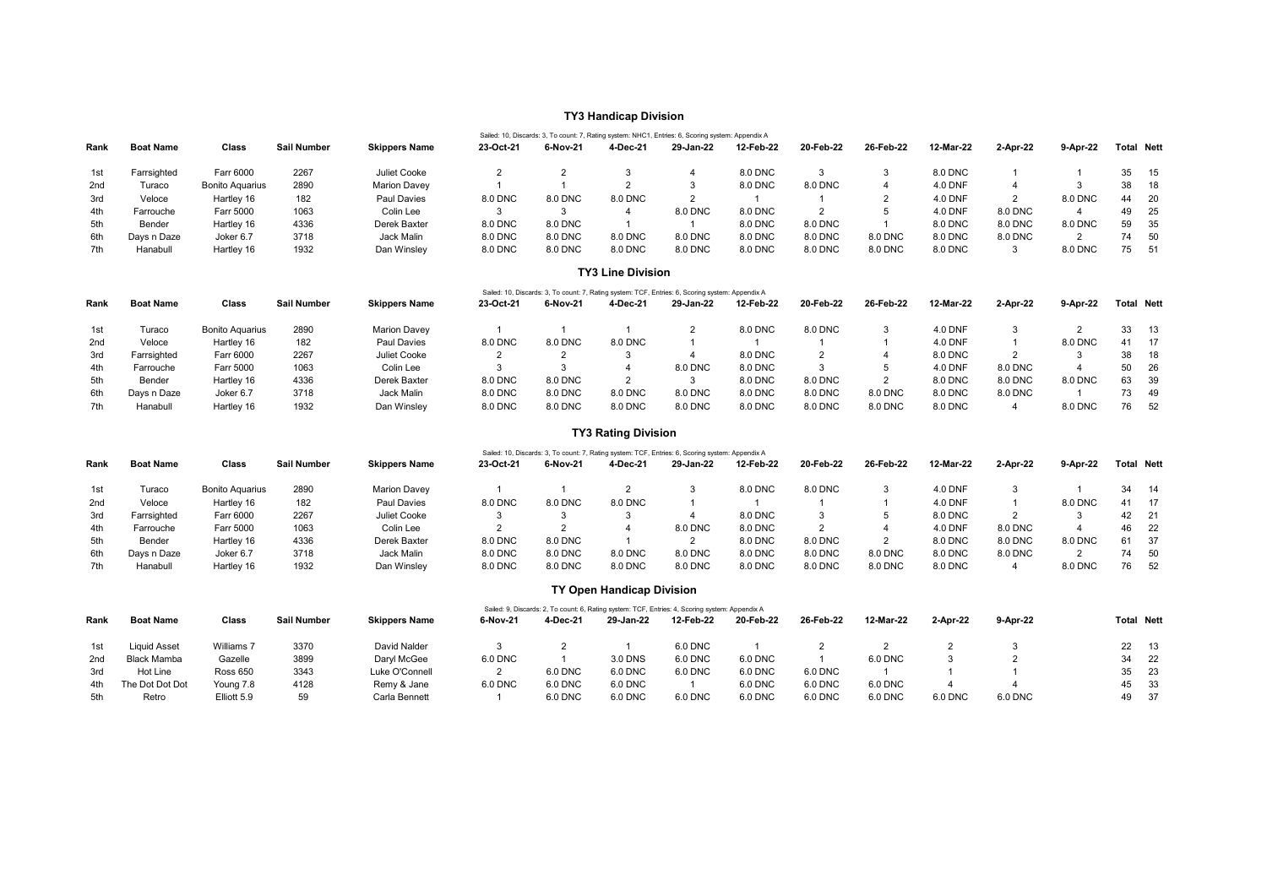### TY3 Handicap Division

|      |                  |                        |             |                      |           | Sailed: 10, Discards: 3, To count: 7, Rating system: NHC1, Entries: 6, Scoring system: Appendix A |          |           |           |           |           |                |          |          |    |                   |
|------|------------------|------------------------|-------------|----------------------|-----------|---------------------------------------------------------------------------------------------------|----------|-----------|-----------|-----------|-----------|----------------|----------|----------|----|-------------------|
| Rank | <b>Boat Name</b> | Class                  | Sail Number | <b>Skippers Name</b> | 23-Oct-21 | 6-Nov-21                                                                                          | 4-Dec-21 | 29-Jan-22 | 12-Feb-22 | 20-Feb-22 | 26-Feb-22 | 12-Mar-22      | 2-Apr-22 | 9-Apr-22 |    | <b>Total Nett</b> |
| 1st  | Farrsighted      | Farr 6000              | 2267        | Juliet Cooke         |           |                                                                                                   |          |           | 8.0 DNC   |           |           | 8.0 DNC        |          |          |    | 35 15             |
| 2nd  | Turaco           | <b>Bonito Aquarius</b> | 2890        | <b>Marion Davev</b>  |           |                                                                                                   |          |           | 8.0 DNC   | 8.0 DNC   |           | <b>4.0 DNF</b> |          |          | 38 | 18                |
| 3rd  | Veloce           | Hartley 16             | 182         | Paul Davies          | 8.0 DNC   | 8.0 DNC                                                                                           | 8.0 DNC  |           |           |           |           | <b>4.0 DNF</b> |          | 8.0 DNC  | 44 | - 20              |
| 4th  | Farrouche        | Farr 5000              | 1063        | Colin Lee            |           |                                                                                                   |          | 8.0 DNC   | 8.0 DNC   |           |           | <b>4.0 DNF</b> | 8.0 DNC  |          | 49 | - 25              |
| 5th  | Bender           | Hartley 16             | 4336        | Derek Baxter         | 8.0 DNC   | 8.0 DNC                                                                                           |          |           | 8.0 DNC   | 8.0 DNC   |           | 8.0 DNC        | 8.0 DNC  | 8.0 DNC  |    | 59 35             |
| 6th  | Days n Daze      | Joker 6.7              | 3718        | Jack Malin           | 8.0 DNC   | 8.0 DNC                                                                                           | 8.0 DNC  | 8.0 DNC   | 8.0 DNC   | 8.0 DNC   | 8.0 DNC   | 8.0 DNC        | 8.0 DNC  |          | 74 | 50                |
| 7th  | Hanabull         | Hartlev 16             | 1932        | Dan Winsley          | 8.0 DNC   | 8.0 DNC                                                                                           | 8.0 DNC  | 8.0 DNC   | 8.0 DNC   | 8.0 DNC   | 8.0 DNC   | 8.0 DNC        |          | 8.0 DNC  |    | 75 51             |

#### TY3 Line Division

|                 |                  |                  |             |                      |           |          |          | Sailed: 10, Discards: 3, To count: 7, Rating system: TCF, Entries: 6, Scoring system: Appendix A |           |           |           |           |          |          |    |                   |
|-----------------|------------------|------------------|-------------|----------------------|-----------|----------|----------|--------------------------------------------------------------------------------------------------|-----------|-----------|-----------|-----------|----------|----------|----|-------------------|
| Rank            | <b>Boat Name</b> | Class            | Sail Number | <b>Skippers Name</b> | 23-Oct-21 | 6-Nov-21 | 4-Dec-21 | 29-Jan-22                                                                                        | 12-Feb-22 | 20-Feb-22 | 26-Feb-22 | 12-Mar-22 | 2-Apr-22 | 9-Apr-22 |    | <b>Total Nett</b> |
| 1st             | Turaco           | Bonito Aguarius  | 2890        | <b>Marion Davev</b>  |           |          |          |                                                                                                  | 8.0 DNC   | 8.0 DNC   |           | 4.0 DNF   |          |          |    | 33 13             |
| 2 <sub>nd</sub> | Veloce           | Hartley 16       | 182         | Paul Davies          | 8.0 DNC   | 8.0 DNC  | 8.0 DNC  |                                                                                                  |           |           |           | 4.0 DNF   |          | 8.0 DNC  |    | 41 17             |
| 3rd             | Farrsighted      | <b>Farr 6000</b> | 2267        | Juliet Cooke         |           |          |          |                                                                                                  | 8.0 DNC   |           |           | 8.0 DNC   |          |          |    | 38 18             |
| 4th             | Farrouche        | <b>Farr 5000</b> | 1063        | Colin Lee            |           |          |          | 8.0 DNC                                                                                          | 8.0 DNC   |           |           | 4.0 DNF   | 8.0 DNC  |          |    | 50 26             |
| 5th             | Bender           | Hartley 16       | 4336        | Derek Baxter         | 8.0 DNC   | 8.0 DNC  |          |                                                                                                  | 8.0 DNC   | 8.0 DNC   |           | 8.0 DNC   | 8.0 DNC  | 8.0 DNC  |    | 63 39             |
| 6th             | Davs n Daze      | Joker 6.7        | 3718        | Jack Malin           | 8.0 DNC   | 8.0 DNC  | 8.0 DNC  | 8.0 DNC                                                                                          | 8.0 DNC   | 8.0 DNC   | 8.0 DNC   | 8.0 DNC   | 8.0 DNC  |          |    | 73 49             |
| 7th             | Hanabull         | Hartley 16       | 1932        | Dan Winsley          | 8.0 DNC   | 8.0 DNC  | 8.0 DNC  | 8.0 DNC                                                                                          | 8.0 DNC   | 8.0 DNC   | 8.0 DNC   | 8.0 DNC   |          | 8.0 DNC  | 76 | - 52              |

## TY3 Rating Division

|      |                  |                        |                    |                      |           |          |          | Sailed: 10, Discards: 3, To count: 7, Rating system: TCF, Entries: 6, Scoring system: Appendix A |           |           |           |                |          |          |    |                   |
|------|------------------|------------------------|--------------------|----------------------|-----------|----------|----------|--------------------------------------------------------------------------------------------------|-----------|-----------|-----------|----------------|----------|----------|----|-------------------|
| Rank | <b>Boat Name</b> | Class                  | <b>Sail Number</b> | <b>Skippers Name</b> | 23-Oct-21 | 6-Nov-21 | 4-Dec-21 | 29-Jan-22                                                                                        | 12-Feb-22 | 20-Feb-22 | 26-Feb-22 | 12-Mar-22      | 2-Apr-22 | 9-Apr-22 |    | <b>Total Nett</b> |
| 1st  | Turaco           | <b>Bonito Aguarius</b> | 2890               | <b>Marion Davev</b>  |           |          |          |                                                                                                  | 8.0 DNC   | 8.0 DNC   |           | <b>4.0 DNF</b> |          |          | 34 | 14                |
| 2nd  | Veloce           | Hartley 16             | 182                | Paul Davies          | 8.0 DNC   | 8.0 DNC  | 8.0 DNC  |                                                                                                  |           |           |           | 4.0 DNF        |          | 8.0 DNC  | 41 | -17               |
| 3rd  | Farrsighted      | Farr 6000              | 2267               | Juliet Cooke         |           |          |          |                                                                                                  | 8.0 DNC   |           |           | 8.0 DNC        |          |          | 42 | -21               |
| 4th  | Farrouche        | Farr 5000              | 1063               | Colin Lee            |           |          |          | 8.0 DNC                                                                                          | 8.0 DNC   |           |           | 4.0 DNF        | 8.0 DNC  |          | 46 | -22               |
| 5th  | Bender           | Hartley 16             | 4336               | Derek Baxter         | 8.0 DNC   | 8.0 DNC  |          |                                                                                                  | 8.0 DNC   | 8.0 DNC   |           | 8.0 DNC        | 8.0 DNC  | 8.0 DNC  | 61 | -37               |
| 6th  | Davs n Daze      | Joker 6.7              | 3718               | Jack Malin           | 8.0 DNC   | 8.0 DNC  | 8.0 DNC  | 8.0 DNC                                                                                          | 8.0 DNC   | 8.0 DNC   | 8.0 DNC   | 8.0 DNC        | 8.0 DNC  |          | 74 | -50               |
| 7th  | Hanabull         | Hartley 16             | 1932               | Dan Winsley          | 8.0 DNC   | 8.0 DNC  | 8.0 DNC  | 8.0 DNC                                                                                          | 8.0 DNC   | 8.0 DNC   | 8.0 DNC   | 8.0 DNC        |          | 8.0 DNC  | 76 | 52                |

#### TY Open Handicap Division

|                 | Sailed: 9, Discards: 2, To count: 6, Rating system: TCF, Entries: 4, Scoring system: Appendix A |                 |             |                      |          |          |                |           |           |           |           |          |          |                   |
|-----------------|-------------------------------------------------------------------------------------------------|-----------------|-------------|----------------------|----------|----------|----------------|-----------|-----------|-----------|-----------|----------|----------|-------------------|
| Rank            | <b>Boat Name</b>                                                                                | Class           | Sail Number | <b>Skippers Name</b> | 6-Nov-21 | 4-Dec-21 | 29 Jan 22      | 12-Feb-22 | 20-Feb-22 | 26-Feb-22 | 12-Mar-22 | 2-Apr-22 | 9-Apr-22 | <b>Total Nett</b> |
| 1st             | <b>Liquid Asset</b>                                                                             | Williams 7      | 3370        | David Nalder         |          |          |                | 6.0 DNC   |           |           |           |          |          | 22 13             |
| 2 <sub>nd</sub> | Black Mamba                                                                                     | Gazelle         | 3899        | Darvl McGee          | 6.0 DNC  |          | 3.0 DNS        | 6.0 DNC   | 6.0 DNC   |           | 6.0 DNC   |          |          | 34 22             |
| 3rd             | Hot Line                                                                                        | <b>Ross 650</b> | 3343        | Luke O'Connell       |          | 6.0 DNC  | 6.0 DNC        | 6.0 DNC   | 6.0 DNC   | 6.0 DNC   |           |          |          | 35 23             |
| 4th             | The Dot Dot Dot                                                                                 | Young 7.8       | 4128        | Remy & Jane          | 6.0 DNC  | 6.0 DNC  | <b>6.0 DNC</b> |           | 6.0 DNC   | 6.0 DNC   | 6.0 DNC   |          |          | 45 33             |
| 5th             | Retro                                                                                           | Elliott 5.9     | 59          | Carla Bennett        |          | 6.0 DNC  | <b>6.0 DNC</b> | 6.0 DNC   | 6.0 DNC   | 6.0 DNC   | 6.0 DNC   | 6.0 DNC  | 6.0 DNC  | 49 37             |